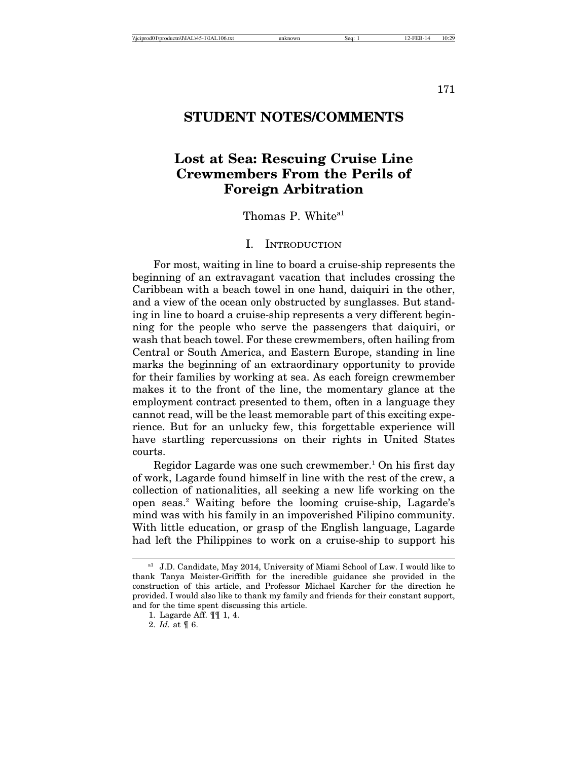171

## **STUDENT NOTES/COMMENTS**

# **Lost at Sea: Rescuing Cruise Line Crewmembers From the Perils of Foreign Arbitration**

Thomas P. White<sup>a1</sup>

#### I. INTRODUCTION

For most, waiting in line to board a cruise-ship represents the beginning of an extravagant vacation that includes crossing the Caribbean with a beach towel in one hand, daiquiri in the other, and a view of the ocean only obstructed by sunglasses. But standing in line to board a cruise-ship represents a very different beginning for the people who serve the passengers that daiquiri, or wash that beach towel. For these crewmembers, often hailing from Central or South America, and Eastern Europe, standing in line marks the beginning of an extraordinary opportunity to provide for their families by working at sea. As each foreign crewmember makes it to the front of the line, the momentary glance at the employment contract presented to them, often in a language they cannot read, will be the least memorable part of this exciting experience. But for an unlucky few, this forgettable experience will have startling repercussions on their rights in United States courts.

Regidor Lagarde was one such crewmember.<sup>1</sup> On his first day of work, Lagarde found himself in line with the rest of the crew, a collection of nationalities, all seeking a new life working on the open seas.<sup>2</sup> Waiting before the looming cruise-ship, Lagarde's mind was with his family in an impoverished Filipino community. With little education, or grasp of the English language, Lagarde had left the Philippines to work on a cruise-ship to support his

<sup>&</sup>lt;sup>a1</sup> J.D. Candidate, May 2014, University of Miami School of Law. I would like to thank Tanya Meister-Griffith for the incredible guidance she provided in the construction of this article, and Professor Michael Karcher for the direction he provided. I would also like to thank my family and friends for their constant support, and for the time spent discussing this article.

<sup>1.</sup> Lagarde Aff. ¶¶ 1, 4.

<sup>2.</sup> *Id.* at ¶ 6.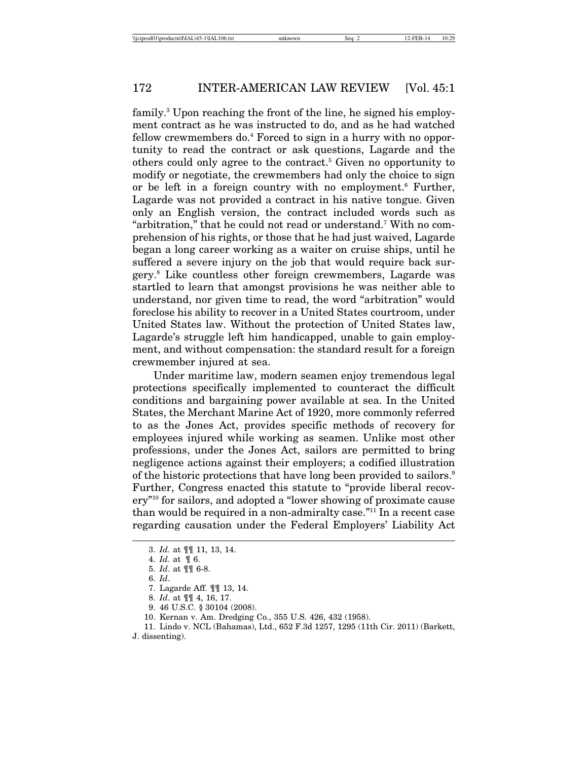family.<sup>3</sup> Upon reaching the front of the line, he signed his employment contract as he was instructed to do, and as he had watched fellow crewmembers do.<sup>4</sup> Forced to sign in a hurry with no opportunity to read the contract or ask questions, Lagarde and the others could only agree to the contract.<sup>5</sup> Given no opportunity to modify or negotiate, the crewmembers had only the choice to sign or be left in a foreign country with no employment.<sup>6</sup> Further, Lagarde was not provided a contract in his native tongue. Given only an English version, the contract included words such as "arbitration," that he could not read or understand.7 With no comprehension of his rights, or those that he had just waived, Lagarde began a long career working as a waiter on cruise ships, until he suffered a severe injury on the job that would require back surgery.8 Like countless other foreign crewmembers, Lagarde was startled to learn that amongst provisions he was neither able to understand, nor given time to read, the word "arbitration" would foreclose his ability to recover in a United States courtroom, under United States law. Without the protection of United States law, Lagarde's struggle left him handicapped, unable to gain employment, and without compensation: the standard result for a foreign crewmember injured at sea.

Under maritime law, modern seamen enjoy tremendous legal protections specifically implemented to counteract the difficult conditions and bargaining power available at sea. In the United States, the Merchant Marine Act of 1920, more commonly referred to as the Jones Act, provides specific methods of recovery for employees injured while working as seamen. Unlike most other professions, under the Jones Act, sailors are permitted to bring negligence actions against their employers; a codified illustration of the historic protections that have long been provided to sailors.<sup>9</sup> Further, Congress enacted this statute to "provide liberal recovery"10 for sailors, and adopted a "lower showing of proximate cause than would be required in a non-admiralty case."11 In a recent case regarding causation under the Federal Employers' Liability Act

- 8. *Id*. at ¶¶ 4, 16, 17.
- 9. 46 U.S.C. § 30104 (2008).
- 10. Kernan v. Am. Dredging Co., 355 U.S. 426, 432 (1958).

J. dissenting).

<sup>3.</sup> *Id.* at ¶¶ 11, 13, 14.

<sup>4.</sup> *Id.* at ¶ 6.

<sup>5.</sup> *Id*. at ¶¶ 6-8.

<sup>6.</sup> *Id*.

<sup>7.</sup> Lagarde Aff. ¶¶ 13, 14.

<sup>11.</sup> Lindo v. NCL (Bahamas), Ltd., 652 F.3d 1257, 1295 (11th Cir. 2011) (Barkett,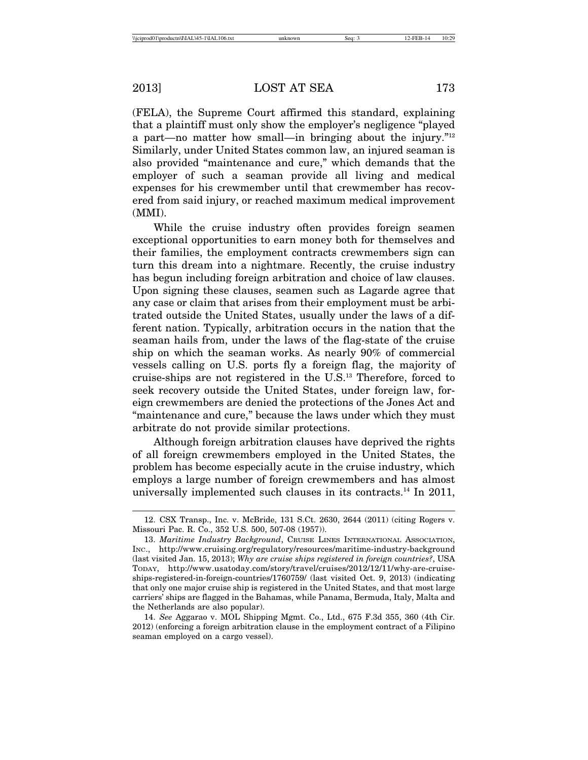(FELA), the Supreme Court affirmed this standard, explaining that a plaintiff must only show the employer's negligence "played a part—no matter how small—in bringing about the injury."12 Similarly, under United States common law, an injured seaman is also provided "maintenance and cure," which demands that the employer of such a seaman provide all living and medical expenses for his crewmember until that crewmember has recovered from said injury, or reached maximum medical improvement (MMI).

While the cruise industry often provides foreign seamen exceptional opportunities to earn money both for themselves and their families, the employment contracts crewmembers sign can turn this dream into a nightmare. Recently, the cruise industry has begun including foreign arbitration and choice of law clauses. Upon signing these clauses, seamen such as Lagarde agree that any case or claim that arises from their employment must be arbitrated outside the United States, usually under the laws of a different nation. Typically, arbitration occurs in the nation that the seaman hails from, under the laws of the flag-state of the cruise ship on which the seaman works. As nearly 90% of commercial vessels calling on U.S. ports fly a foreign flag, the majority of cruise-ships are not registered in the U.S.13 Therefore, forced to seek recovery outside the United States, under foreign law, foreign crewmembers are denied the protections of the Jones Act and "maintenance and cure," because the laws under which they must arbitrate do not provide similar protections.

Although foreign arbitration clauses have deprived the rights of all foreign crewmembers employed in the United States, the problem has become especially acute in the cruise industry, which employs a large number of foreign crewmembers and has almost universally implemented such clauses in its contracts.14 In 2011,

<sup>12.</sup> CSX Transp., Inc. v. McBride, 131 S.Ct. 2630, 2644 (2011) (citing Rogers v. Missouri Pac. R. Co., 352 U.S. 500, 507-08 (1957)).

<sup>13.</sup> *Maritime Industry Background*, CRUISE LINES INTERNATIONAL ASSOCIATION, INC., http://www.cruising.org/regulatory/resources/maritime-industry-background (last visited Jan. 15, 2013); *Why are cruise ships registered in foreign countries?*, USA TODAY, http://www.usatoday.com/story/travel/cruises/2012/12/11/why-are-cruiseships-registered-in-foreign-countries/1760759/ (last visited Oct. 9, 2013) (indicating that only one major cruise ship is registered in the United States, and that most large carriers' ships are flagged in the Bahamas, while Panama, Bermuda, Italy, Malta and the Netherlands are also popular).

<sup>14.</sup> *See* Aggarao v. MOL Shipping Mgmt. Co., Ltd., 675 F.3d 355, 360 (4th Cir. 2012) (enforcing a foreign arbitration clause in the employment contract of a Filipino seaman employed on a cargo vessel).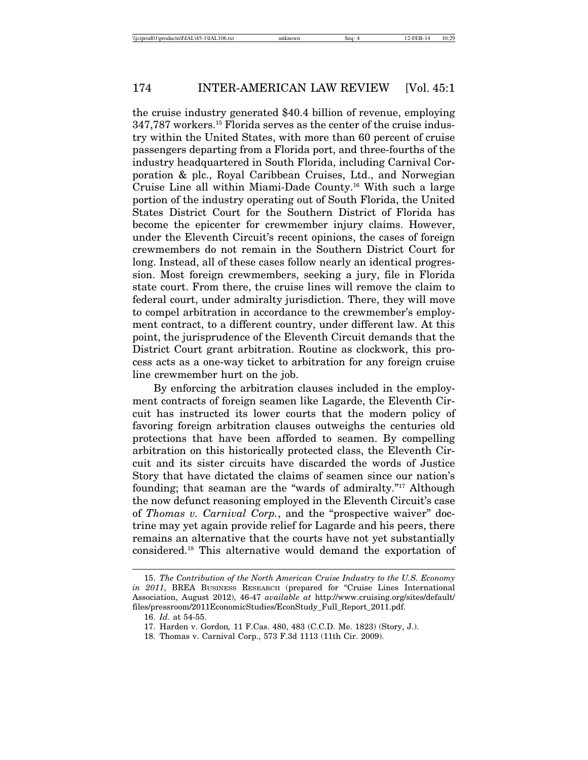the cruise industry generated \$40.4 billion of revenue, employing 347,787 workers.15 Florida serves as the center of the cruise industry within the United States, with more than 60 percent of cruise passengers departing from a Florida port, and three-fourths of the industry headquartered in South Florida, including Carnival Corporation & plc., Royal Caribbean Cruises, Ltd., and Norwegian Cruise Line all within Miami-Dade County.16 With such a large portion of the industry operating out of South Florida, the United States District Court for the Southern District of Florida has become the epicenter for crewmember injury claims. However, under the Eleventh Circuit's recent opinions, the cases of foreign crewmembers do not remain in the Southern District Court for long. Instead, all of these cases follow nearly an identical progression. Most foreign crewmembers, seeking a jury, file in Florida state court. From there, the cruise lines will remove the claim to federal court, under admiralty jurisdiction. There, they will move to compel arbitration in accordance to the crewmember's employment contract, to a different country, under different law. At this point, the jurisprudence of the Eleventh Circuit demands that the District Court grant arbitration. Routine as clockwork, this process acts as a one-way ticket to arbitration for any foreign cruise line crewmember hurt on the job.

By enforcing the arbitration clauses included in the employment contracts of foreign seamen like Lagarde, the Eleventh Circuit has instructed its lower courts that the modern policy of favoring foreign arbitration clauses outweighs the centuries old protections that have been afforded to seamen. By compelling arbitration on this historically protected class, the Eleventh Circuit and its sister circuits have discarded the words of Justice Story that have dictated the claims of seamen since our nation's founding; that seaman are the "wards of admiralty."17 Although the now defunct reasoning employed in the Eleventh Circuit's case of *Thomas v. Carnival Corp.*, and the "prospective waiver" doctrine may yet again provide relief for Lagarde and his peers, there remains an alternative that the courts have not yet substantially considered.18 This alternative would demand the exportation of

<sup>15.</sup> *The Contribution of the North American Cruise Industry to the U.S. Economy in 2011*, BREA BUSINESS RESEARCH (prepared for "Cruise Lines International Association, August 2012), 46-47 *available at* http://www.cruising.org/sites/default/ files/pressroom/2011EconomicStudies/EconStudy\_Full\_Report\_2011.pdf.

<sup>16.</sup> *Id*. at 54-55.

<sup>17.</sup> Harden v. Gordon*,* 11 F.Cas. 480, 483 (C.C.D. Me. 1823) (Story, J.).

<sup>18.</sup> Thomas v. Carnival Corp., 573 F.3d 1113 (11th Cir. 2009).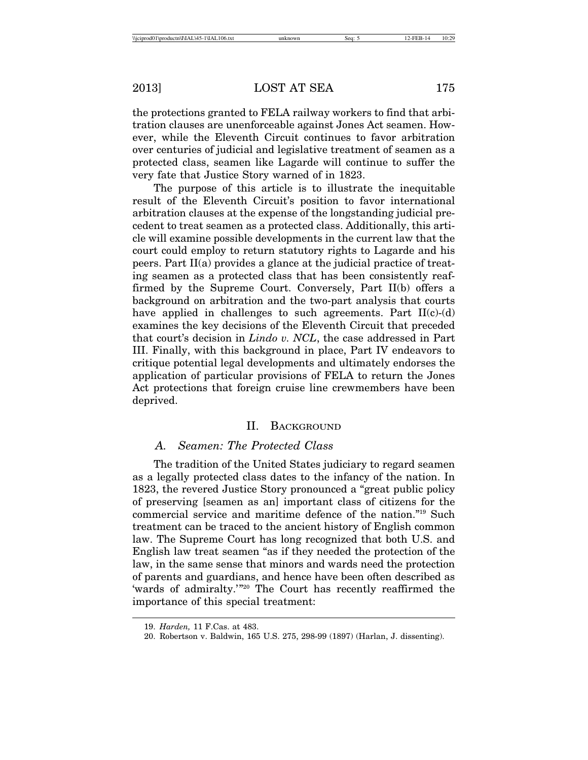the protections granted to FELA railway workers to find that arbitration clauses are unenforceable against Jones Act seamen. However, while the Eleventh Circuit continues to favor arbitration over centuries of judicial and legislative treatment of seamen as a protected class, seamen like Lagarde will continue to suffer the very fate that Justice Story warned of in 1823.

The purpose of this article is to illustrate the inequitable result of the Eleventh Circuit's position to favor international arbitration clauses at the expense of the longstanding judicial precedent to treat seamen as a protected class. Additionally, this article will examine possible developments in the current law that the court could employ to return statutory rights to Lagarde and his peers. Part II(a) provides a glance at the judicial practice of treating seamen as a protected class that has been consistently reaffirmed by the Supreme Court. Conversely, Part II(b) offers a background on arbitration and the two-part analysis that courts have applied in challenges to such agreements. Part  $II(c)$ -(d) examines the key decisions of the Eleventh Circuit that preceded that court's decision in *Lindo v. NCL*, the case addressed in Part III. Finally, with this background in place, Part IV endeavors to critique potential legal developments and ultimately endorses the application of particular provisions of FELA to return the Jones Act protections that foreign cruise line crewmembers have been deprived.

#### II. BACKGROUND

## *A. Seamen: The Protected Class*

The tradition of the United States judiciary to regard seamen as a legally protected class dates to the infancy of the nation. In 1823, the revered Justice Story pronounced a "great public policy of preserving [seamen as an] important class of citizens for the commercial service and maritime defence of the nation."19 Such treatment can be traced to the ancient history of English common law. The Supreme Court has long recognized that both U.S. and English law treat seamen "as if they needed the protection of the law, in the same sense that minors and wards need the protection of parents and guardians, and hence have been often described as 'wards of admiralty.'"20 The Court has recently reaffirmed the importance of this special treatment:

<sup>19.</sup> *Harden,* 11 F.Cas. at 483.

<sup>20.</sup> Robertson v. Baldwin, 165 U.S. 275, 298-99 (1897) (Harlan, J. dissenting).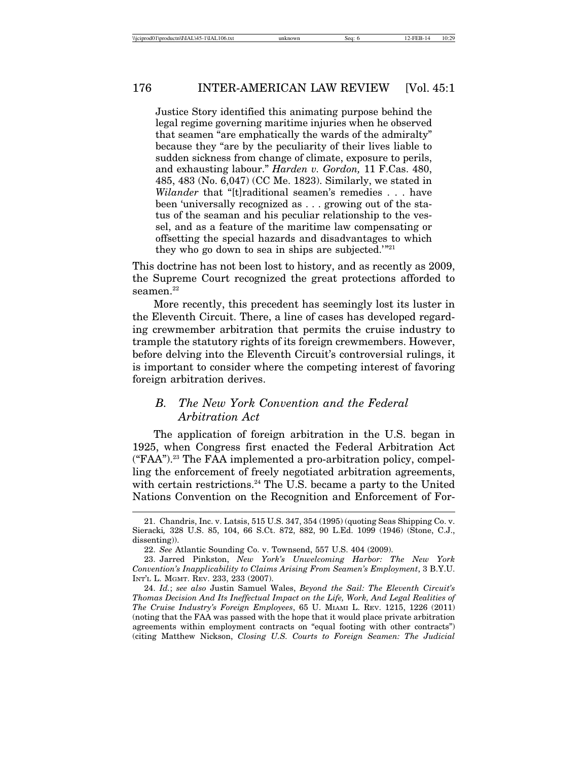Justice Story identified this animating purpose behind the legal regime governing maritime injuries when he observed that seamen "are emphatically the wards of the admiralty" because they "are by the peculiarity of their lives liable to sudden sickness from change of climate, exposure to perils, and exhausting labour." *Harden v. Gordon,* 11 F.Cas. 480, 485, 483 (No. 6,047) (CC Me. 1823). Similarly, we stated in *Wilander* that "[t]raditional seamen's remedies . . . have been 'universally recognized as . . . growing out of the status of the seaman and his peculiar relationship to the vessel, and as a feature of the maritime law compensating or offsetting the special hazards and disadvantages to which they who go down to sea in ships are subjected. $\mathbb{Z}^{21}$ 

This doctrine has not been lost to history, and as recently as 2009, the Supreme Court recognized the great protections afforded to seamen.<sup>22</sup>

More recently, this precedent has seemingly lost its luster in the Eleventh Circuit. There, a line of cases has developed regarding crewmember arbitration that permits the cruise industry to trample the statutory rights of its foreign crewmembers. However, before delving into the Eleventh Circuit's controversial rulings, it is important to consider where the competing interest of favoring foreign arbitration derives.

## *B. The New York Convention and the Federal Arbitration Act*

The application of foreign arbitration in the U.S. began in 1925, when Congress first enacted the Federal Arbitration Act  $("FAA").<sup>23</sup>$  The FAA implemented a pro-arbitration policy, compelling the enforcement of freely negotiated arbitration agreements, with certain restrictions.<sup>24</sup> The U.S. became a party to the United Nations Convention on the Recognition and Enforcement of For-

<sup>21.</sup> Chandris, Inc. v. Latsis, 515 U.S. 347, 354 (1995) (quoting Seas Shipping Co. v. Sieracki*,* 328 U.S. 85, 104, 66 S.Ct. 872, 882, 90 L.Ed. 1099 (1946) (Stone, C.J., dissenting)).

<sup>22.</sup> *See* Atlantic Sounding Co. v. Townsend, 557 U.S. 404 (2009).

<sup>23.</sup> Jarred Pinkston, *New York's Unwelcoming Harbor: The New York Convention's Inapplicability to Claims Arising From Seamen's Employment*, 3 B.Y.U. INT'L L. MGMT. REV. 233, 233 (2007).

<sup>24.</sup> *Id.*; *see also* Justin Samuel Wales, *Beyond the Sail: The Eleventh Circuit's Thomas Decision And Its Ineffectual Impact on the Life, Work, And Legal Realities of The Cruise Industry's Foreign Employees*, 65 U. MIAMI L. REV. 1215, 1226 (2011) (noting that the FAA was passed with the hope that it would place private arbitration agreements within employment contracts on "equal footing with other contracts") (citing Matthew Nickson, *Closing U.S. Courts to Foreign Seamen: The Judicial*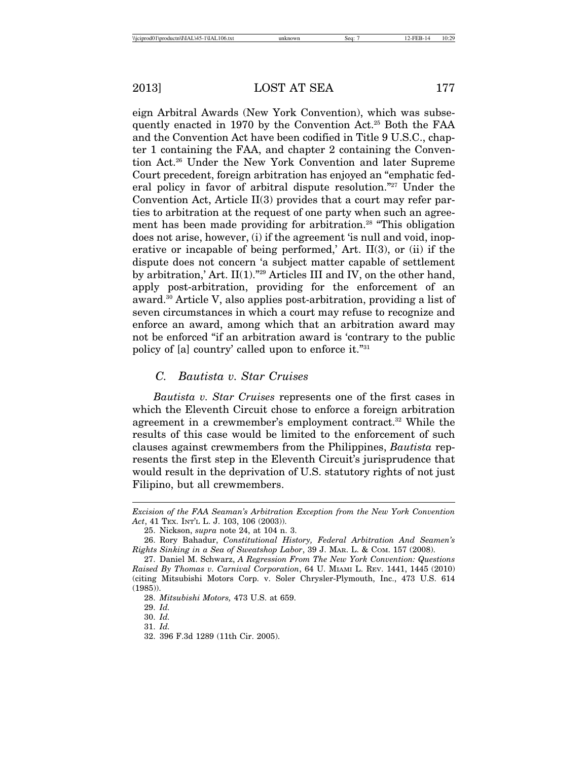eign Arbitral Awards (New York Convention), which was subsequently enacted in 1970 by the Convention Act.25 Both the FAA and the Convention Act have been codified in Title 9 U.S.C., chapter 1 containing the FAA, and chapter 2 containing the Convention Act.26 Under the New York Convention and later Supreme Court precedent, foreign arbitration has enjoyed an "emphatic federal policy in favor of arbitral dispute resolution."27 Under the Convention Act, Article II(3) provides that a court may refer parties to arbitration at the request of one party when such an agreement has been made providing for arbitration.<sup>28</sup> "This obligation" does not arise, however, (i) if the agreement 'is null and void, inoperative or incapable of being performed,' Art.  $II(3)$ , or (ii) if the dispute does not concern 'a subject matter capable of settlement by arbitration,' Art. II(1)."29 Articles III and IV, on the other hand, apply post-arbitration, providing for the enforcement of an award.30 Article V, also applies post-arbitration, providing a list of seven circumstances in which a court may refuse to recognize and enforce an award, among which that an arbitration award may not be enforced "if an arbitration award is 'contrary to the public policy of [a] country' called upon to enforce it."31

#### *C. Bautista v. Star Cruises*

*Bautista v. Star Cruises* represents one of the first cases in which the Eleventh Circuit chose to enforce a foreign arbitration agreement in a crewmember's employment contract.32 While the results of this case would be limited to the enforcement of such clauses against crewmembers from the Philippines, *Bautista* represents the first step in the Eleventh Circuit's jurisprudence that would result in the deprivation of U.S. statutory rights of not just Filipino, but all crewmembers.

*Excision of the FAA Seaman's Arbitration Exception from the New York Convention Act*, 41 TEX. INT'L L. J. 103, 106 (2003)).

<sup>25.</sup> Nickson, *supra* note 24, at 104 n. 3.

<sup>26.</sup> Rory Bahadur, *Constitutional History, Federal Arbitration And Seamen's Rights Sinking in a Sea of Sweatshop Labor*, 39 J. MAR. L. & COM. 157 (2008).

<sup>27.</sup> Daniel M. Schwarz, *A Regression From The New York Convention: Questions Raised By Thomas v. Carnival Corporation*, 64 U. MIAMI L. REV. 1441, 1445 (2010) (citing Mitsubishi Motors Corp. v. Soler Chrysler-Plymouth, Inc., 473 U.S. 614 (1985)).

<sup>28.</sup> *Mitsubishi Motors,* 473 U.S. at 659.

<sup>29.</sup> *Id.*

<sup>30.</sup> *Id.*

<sup>31.</sup> *Id.*

<sup>32. 396</sup> F.3d 1289 (11th Cir. 2005).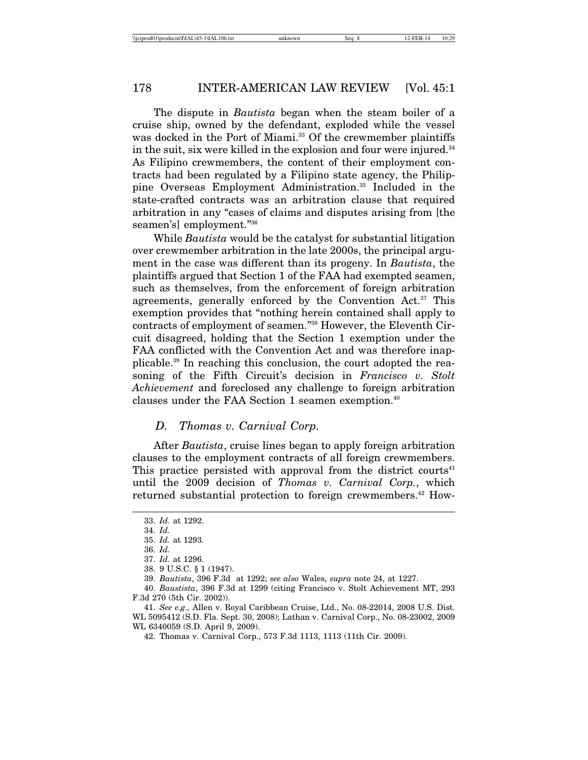The dispute in *Bautista* began when the steam boiler of a cruise ship, owned by the defendant, exploded while the vessel was docked in the Port of Miami.<sup>33</sup> Of the crewmember plaintiffs in the suit, six were killed in the explosion and four were injured.<sup>34</sup> As Filipino crewmembers, the content of their employment contracts had been regulated by a Filipino state agency, the Philippine Overseas Employment Administration.35 Included in the state-crafted contracts was an arbitration clause that required arbitration in any "cases of claims and disputes arising from [the seamen's] employment."36

While *Bautista* would be the catalyst for substantial litigation over crewmember arbitration in the late 2000s, the principal argument in the case was different than its progeny. In *Bautista*, the plaintiffs argued that Section 1 of the FAA had exempted seamen, such as themselves, from the enforcement of foreign arbitration agreements, generally enforced by the Convention Act.<sup>37</sup> This exemption provides that "nothing herein contained shall apply to contracts of employment of seamen."38 However, the Eleventh Circuit disagreed, holding that the Section 1 exemption under the FAA conflicted with the Convention Act and was therefore inapplicable.39 In reaching this conclusion, the court adopted the reasoning of the Fifth Circuit's decision in *Francisco v. Stolt Achievement* and foreclosed any challenge to foreign arbitration clauses under the FAA Section 1 seamen exemption.<sup>40</sup>

#### *D. Thomas v. Carnival Corp.*

After *Bautista*, cruise lines began to apply foreign arbitration clauses to the employment contracts of all foreign crewmembers. This practice persisted with approval from the district courts<sup>41</sup> until the 2009 decision of *Thomas v. Carnival Corp.*, which returned substantial protection to foreign crewmembers.<sup>42</sup> How-

<sup>33.</sup> *Id.* at 1292.

<sup>34.</sup> *Id.*

<sup>35.</sup> *Id.* at 1293.

<sup>36.</sup> *Id.*

<sup>37.</sup> *Id.* at 1296.

<sup>38. 9</sup> U.S.C. § 1 (1947).

<sup>39.</sup> *Bautista*, 396 F.3d at 1292; *see also* Wales, *supra* note 24, at 1227.

<sup>40.</sup> *Baustista*, 396 F.3d at 1299 (citing Francisco v. Stolt Achievement MT, 293 F.3d 270 (5th Cir. 2002)).

<sup>41.</sup> *See e.g.,* Allen v. Royal Caribbean Cruise, Ltd., No. 08-22014, 2008 U.S. Dist. WL 5095412 (S.D. Fla. Sept. 30, 2008); Lathan v. Carnival Corp., No. 08-23002, 2009 WL 6340059 (S.D. April 9, 2009).

<sup>42.</sup> Thomas v. Carnival Corp., 573 F.3d 1113, 1113 (11th Cir. 2009).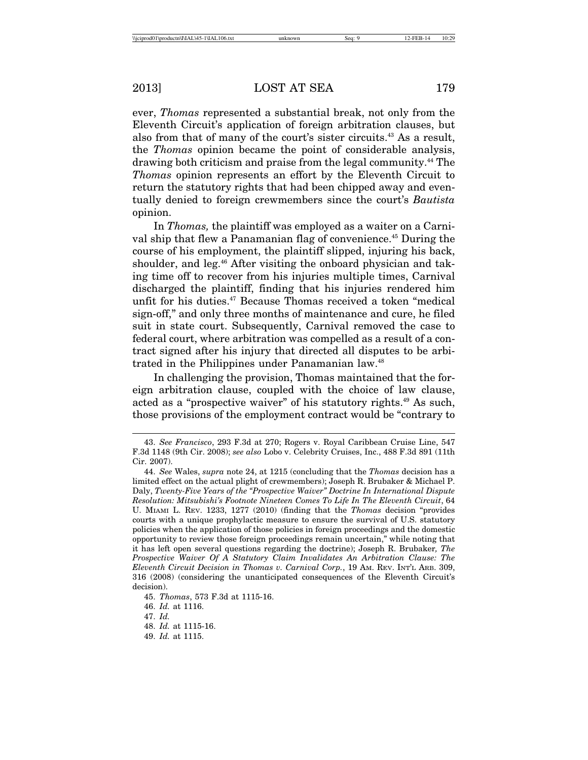ever, *Thomas* represented a substantial break, not only from the Eleventh Circuit's application of foreign arbitration clauses, but also from that of many of the court's sister circuits.43 As a result, the *Thomas* opinion became the point of considerable analysis, drawing both criticism and praise from the legal community.44 The *Thomas* opinion represents an effort by the Eleventh Circuit to return the statutory rights that had been chipped away and eventually denied to foreign crewmembers since the court's *Bautista* opinion.

In *Thomas,* the plaintiff was employed as a waiter on a Carnival ship that flew a Panamanian flag of convenience.45 During the course of his employment, the plaintiff slipped, injuring his back, shoulder, and leg.<sup>46</sup> After visiting the onboard physician and taking time off to recover from his injuries multiple times, Carnival discharged the plaintiff, finding that his injuries rendered him unfit for his duties.<sup>47</sup> Because Thomas received a token "medical sign-off," and only three months of maintenance and cure, he filed suit in state court. Subsequently, Carnival removed the case to federal court, where arbitration was compelled as a result of a contract signed after his injury that directed all disputes to be arbitrated in the Philippines under Panamanian law.<sup>48</sup>

In challenging the provision, Thomas maintained that the foreign arbitration clause, coupled with the choice of law clause, acted as a "prospective waiver" of his statutory rights.<sup>49</sup> As such, those provisions of the employment contract would be "contrary to

46. *Id.* at 1116.

<sup>43.</sup> *See Francisco*, 293 F.3d at 270; Rogers v. Royal Caribbean Cruise Line, 547 F.3d 1148 (9th Cir. 2008); *see also* Lobo v. Celebrity Cruises, Inc., 488 F.3d 891 (11th Cir. 2007).

<sup>44.</sup> *See* Wales, *supra* note 24, at 1215 (concluding that the *Thomas* decision has a limited effect on the actual plight of crewmembers); Joseph R. Brubaker & Michael P. Daly, *Twenty-Five Years of the "Prospective Waiver" Doctrine In International Dispute Resolution: Mitsubishi's Footnote Nineteen Comes To Life In The Eleventh Circuit*, 64 U. MIAMI L. REV. 1233, 1277 (2010) (finding that the *Thomas* decision "provides courts with a unique prophylactic measure to ensure the survival of U.S. statutory policies when the application of those policies in foreign proceedings and the domestic opportunity to review those foreign proceedings remain uncertain," while noting that it has left open several questions regarding the doctrine); Joseph R. Brubaker*, The Prospective Waiver Of A Statutory Claim Invalidates An Arbitration Clause: The Eleventh Circuit Decision in Thomas v. Carnival Corp.*, 19 AM. REV. INT'L ARB. 309, 316 (2008) (considering the unanticipated consequences of the Eleventh Circuit's decision).

<sup>45.</sup> *Thomas*, 573 F.3d at 1115-16.

<sup>47.</sup> *Id.*

<sup>48.</sup> *Id.* at 1115-16.

<sup>49.</sup> *Id.* at 1115.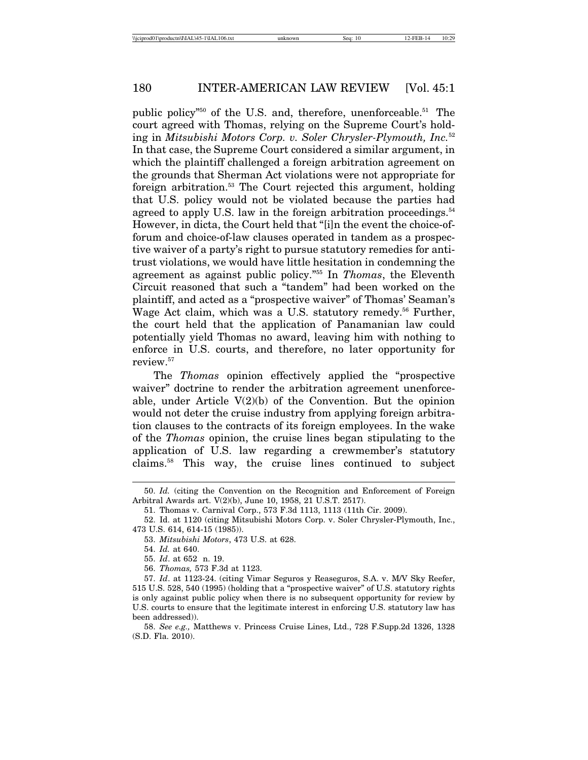public policy<sup> $n_{50}$ </sup> of the U.S. and, therefore, unenforceable.<sup>51</sup> The court agreed with Thomas, relying on the Supreme Court's holding in *Mitsubishi Motors Corp. v. Soler Chrysler-Plymouth, Inc.*<sup>52</sup> In that case, the Supreme Court considered a similar argument, in which the plaintiff challenged a foreign arbitration agreement on the grounds that Sherman Act violations were not appropriate for foreign arbitration.53 The Court rejected this argument, holding that U.S. policy would not be violated because the parties had agreed to apply U.S. law in the foreign arbitration proceedings.<sup>54</sup> However, in dicta, the Court held that "[i]n the event the choice-offorum and choice-of-law clauses operated in tandem as a prospective waiver of a party's right to pursue statutory remedies for antitrust violations, we would have little hesitation in condemning the agreement as against public policy."55 In *Thomas*, the Eleventh Circuit reasoned that such a "tandem" had been worked on the plaintiff, and acted as a "prospective waiver" of Thomas' Seaman's Wage Act claim, which was a U.S. statutory remedy.<sup>56</sup> Further, the court held that the application of Panamanian law could potentially yield Thomas no award, leaving him with nothing to enforce in U.S. courts, and therefore, no later opportunity for review.57

The *Thomas* opinion effectively applied the "prospective waiver" doctrine to render the arbitration agreement unenforceable, under Article  $V(2)(b)$  of the Convention. But the opinion would not deter the cruise industry from applying foreign arbitration clauses to the contracts of its foreign employees. In the wake of the *Thomas* opinion, the cruise lines began stipulating to the application of U.S. law regarding a crewmember's statutory claims.58 This way, the cruise lines continued to subject

<sup>50.</sup> *Id.* (citing the Convention on the Recognition and Enforcement of Foreign Arbitral Awards art. V(2)(b), June 10, 1958, 21 U.S.T. 2517).

<sup>51.</sup> Thomas v. Carnival Corp., 573 F.3d 1113, 1113 (11th Cir. 2009).

<sup>52.</sup> Id. at 1120 (citing Mitsubishi Motors Corp. v. Soler Chrysler-Plymouth, Inc., 473 U.S. 614, 614-15 (1985)).

<sup>53.</sup> *Mitsubishi Motors*, 473 U.S. at 628.

<sup>54.</sup> *Id.* at 640.

<sup>55.</sup> *Id*. at 652 n. 19.

<sup>56.</sup> *Thomas,* 573 F.3d at 1123.

<sup>57.</sup> *Id*. at 1123-24. (citing Vimar Seguros y Reaseguros, S.A. v. M/V Sky Reefer, 515 U.S. 528, 540 (1995) (holding that a "prospective waiver" of U.S. statutory rights is only against public policy when there is no subsequent opportunity for review by U.S. courts to ensure that the legitimate interest in enforcing U.S. statutory law has been addressed)).

<sup>58.</sup> *See e.g.,* Matthews v. Princess Cruise Lines, Ltd., 728 F.Supp.2d 1326, 1328 (S.D. Fla. 2010).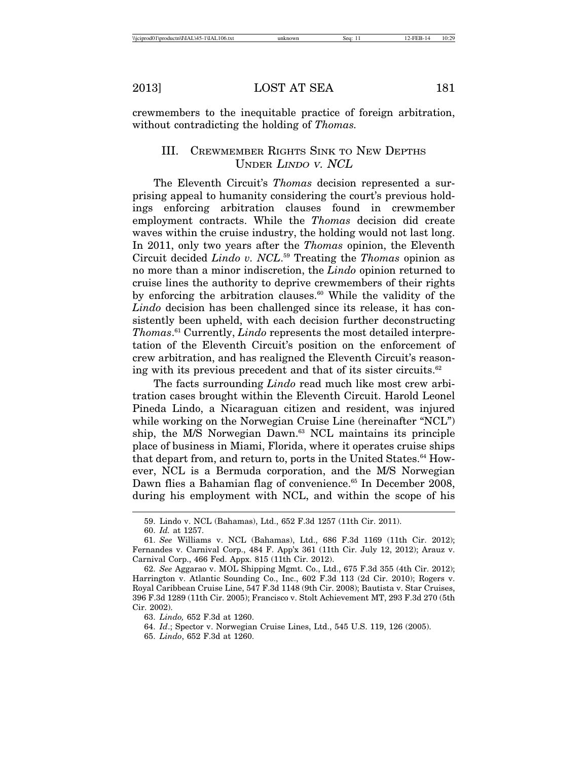crewmembers to the inequitable practice of foreign arbitration, without contradicting the holding of *Thomas.*

## III. CREWMEMBER RIGHTS SINK TO NEW DEPTHS UNDER LINDO <sup>V</sup>. NCL

The Eleventh Circuit's *Thomas* decision represented a surprising appeal to humanity considering the court's previous holdings enforcing arbitration clauses found in crewmember employment contracts. While the *Thomas* decision did create waves within the cruise industry, the holding would not last long. In 2011, only two years after the *Thomas* opinion, the Eleventh Circuit decided *Lindo v. NCL*. 59 Treating the *Thomas* opinion as no more than a minor indiscretion, the *Lindo* opinion returned to cruise lines the authority to deprive crewmembers of their rights by enforcing the arbitration clauses. $60$  While the validity of the *Lindo* decision has been challenged since its release, it has consistently been upheld, with each decision further deconstructing *Thomas*. 61 Currently, *Lindo* represents the most detailed interpretation of the Eleventh Circuit's position on the enforcement of crew arbitration, and has realigned the Eleventh Circuit's reasoning with its previous precedent and that of its sister circuits.<sup>62</sup>

The facts surrounding *Lindo* read much like most crew arbitration cases brought within the Eleventh Circuit. Harold Leonel Pineda Lindo, a Nicaraguan citizen and resident, was injured while working on the Norwegian Cruise Line (hereinafter "NCL") ship, the M/S Norwegian Dawn.<sup>63</sup> NCL maintains its principle place of business in Miami, Florida, where it operates cruise ships that depart from, and return to, ports in the United States. $64$  However, NCL is a Bermuda corporation, and the M/S Norwegian Dawn flies a Bahamian flag of convenience.<sup>65</sup> In December 2008, during his employment with NCL, and within the scope of his

63. *Lindo,* 652 F.3d at 1260.

64. *Id*.; Spector v. Norwegian Cruise Lines, Ltd., 545 U.S. 119, 126 (2005).

65. *Lindo*, 652 F.3d at 1260.

<sup>59.</sup> Lindo v. NCL (Bahamas), Ltd., 652 F.3d 1257 (11th Cir. 2011).

<sup>60.</sup> *Id.* at 1257.

<sup>61.</sup> *See* Williams v. NCL (Bahamas), Ltd., 686 F.3d 1169 (11th Cir. 2012); Fernandes v. Carnival Corp., 484 F. App'x 361 (11th Cir. July 12, 2012); Arauz v. Carnival Corp., 466 Fed. Appx. 815 (11th Cir. 2012).

<sup>62.</sup> *See* Aggarao v. MOL Shipping Mgmt. Co., Ltd., 675 F.3d 355 (4th Cir. 2012); Harrington v. Atlantic Sounding Co., Inc., 602 F.3d 113 (2d Cir. 2010); Rogers v. Royal Caribbean Cruise Line, 547 F.3d 1148 (9th Cir. 2008); Bautista v. Star Cruises, 396 F.3d 1289 (11th Cir. 2005); Francisco v. Stolt Achievement MT, 293 F.3d 270 (5th Cir. 2002).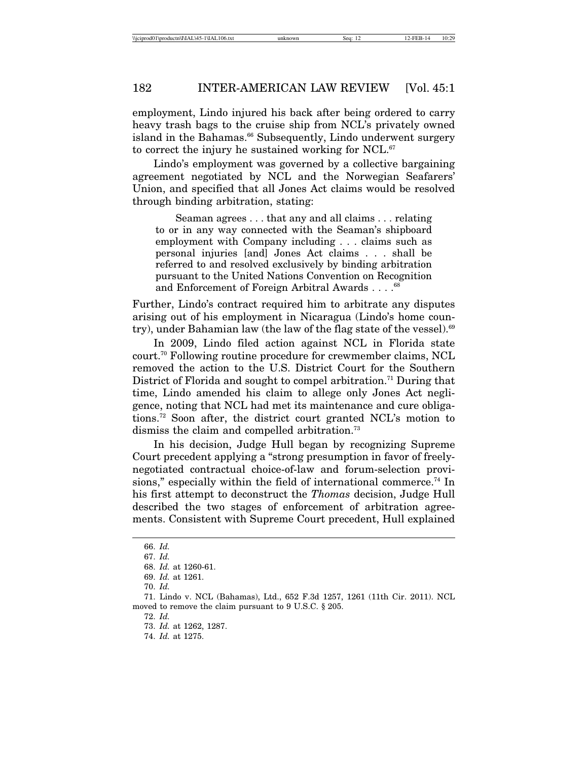employment, Lindo injured his back after being ordered to carry heavy trash bags to the cruise ship from NCL's privately owned island in the Bahamas.<sup>66</sup> Subsequently, Lindo underwent surgery to correct the injury he sustained working for NCL. $67$ 

Lindo's employment was governed by a collective bargaining agreement negotiated by NCL and the Norwegian Seafarers' Union, and specified that all Jones Act claims would be resolved through binding arbitration, stating:

Seaman agrees . . . that any and all claims . . . relating to or in any way connected with the Seaman's shipboard employment with Company including . . . claims such as personal injuries [and] Jones Act claims . . . shall be referred to and resolved exclusively by binding arbitration pursuant to the United Nations Convention on Recognition and Enforcement of Foreign Arbitral Awards . . . .<sup>68</sup>

Further, Lindo's contract required him to arbitrate any disputes arising out of his employment in Nicaragua (Lindo's home country), under Bahamian law (the law of the flag state of the vessel).<sup>69</sup>

In 2009, Lindo filed action against NCL in Florida state court.70 Following routine procedure for crewmember claims, NCL removed the action to the U.S. District Court for the Southern District of Florida and sought to compel arbitration.<sup>71</sup> During that time, Lindo amended his claim to allege only Jones Act negligence, noting that NCL had met its maintenance and cure obligations.72 Soon after, the district court granted NCL's motion to dismiss the claim and compelled arbitration.<sup>73</sup>

In his decision, Judge Hull began by recognizing Supreme Court precedent applying a "strong presumption in favor of freelynegotiated contractual choice-of-law and forum-selection provisions," especially within the field of international commerce.<sup>74</sup> In his first attempt to deconstruct the *Thomas* decision, Judge Hull described the two stages of enforcement of arbitration agreements. Consistent with Supreme Court precedent, Hull explained

70. *Id.*

72. *Id.*

<sup>66.</sup> *Id.*

<sup>67.</sup> *Id.*

<sup>68.</sup> *Id.* at 1260-61.

<sup>69.</sup> *Id.* at 1261.

<sup>71.</sup> Lindo v. NCL (Bahamas), Ltd., 652 F.3d 1257, 1261 (11th Cir. 2011). NCL moved to remove the claim pursuant to 9 U.S.C. § 205.

<sup>73.</sup> *Id.* at 1262, 1287.

<sup>74.</sup> *Id.* at 1275.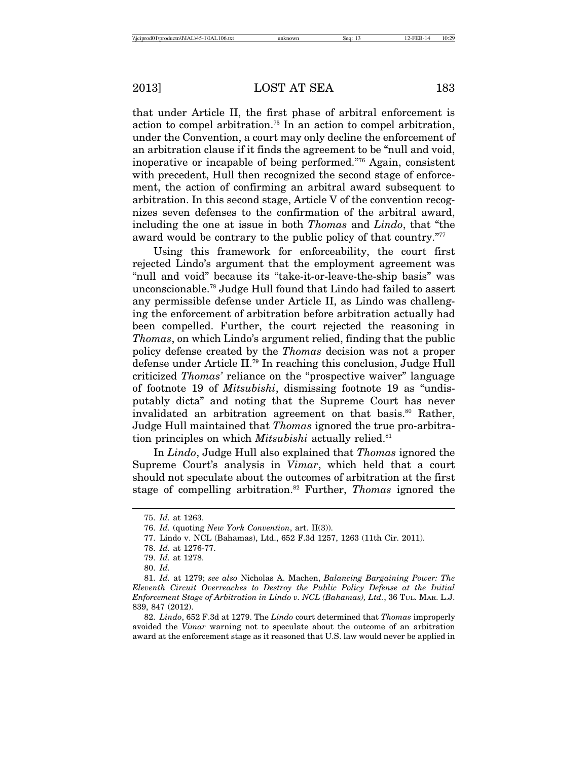that under Article II, the first phase of arbitral enforcement is action to compel arbitration.75 In an action to compel arbitration, under the Convention, a court may only decline the enforcement of an arbitration clause if it finds the agreement to be "null and void, inoperative or incapable of being performed."76 Again, consistent with precedent, Hull then recognized the second stage of enforcement, the action of confirming an arbitral award subsequent to arbitration. In this second stage, Article V of the convention recognizes seven defenses to the confirmation of the arbitral award, including the one at issue in both *Thomas* and *Lindo*, that "the award would be contrary to the public policy of that country."77

Using this framework for enforceability, the court first rejected Lindo's argument that the employment agreement was "null and void" because its "take-it-or-leave-the-ship basis" was unconscionable.78 Judge Hull found that Lindo had failed to assert any permissible defense under Article II, as Lindo was challenging the enforcement of arbitration before arbitration actually had been compelled. Further, the court rejected the reasoning in *Thomas*, on which Lindo's argument relied, finding that the public policy defense created by the *Thomas* decision was not a proper defense under Article II.79 In reaching this conclusion, Judge Hull criticized *Thomas'* reliance on the "prospective waiver" language of footnote 19 of *Mitsubishi*, dismissing footnote 19 as "undisputably dicta" and noting that the Supreme Court has never invalidated an arbitration agreement on that basis.<sup>80</sup> Rather, Judge Hull maintained that *Thomas* ignored the true pro-arbitration principles on which *Mitsubishi* actually relied.<sup>81</sup>

In *Lindo*, Judge Hull also explained that *Thomas* ignored the Supreme Court's analysis in *Vimar*, which held that a court should not speculate about the outcomes of arbitration at the first stage of compelling arbitration.82 Further, *Thomas* ignored the

82. *Lindo*, 652 F.3d at 1279. The *Lindo* court determined that *Thomas* improperly avoided the *Vimar* warning not to speculate about the outcome of an arbitration award at the enforcement stage as it reasoned that U.S. law would never be applied in

<sup>75.</sup> *Id.* at 1263.

<sup>76.</sup> *Id.* (quoting *New York Convention*, art. II(3)).

<sup>77.</sup> Lindo v. NCL (Bahamas), Ltd., 652 F.3d 1257, 1263 (11th Cir. 2011).

<sup>78.</sup> *Id.* at 1276-77.

<sup>79.</sup> *Id.* at 1278.

<sup>80.</sup> *Id.*

<sup>81.</sup> *Id.* at 1279; *see also* Nicholas A. Machen, *Balancing Bargaining Power: The Eleventh Circuit Overreaches to Destroy the Public Policy Defense at the Initial Enforcement Stage of Arbitration in Lindo v. NCL (Bahamas), Ltd.*, 36 TUL. MAR. L.J. 839, 847 (2012).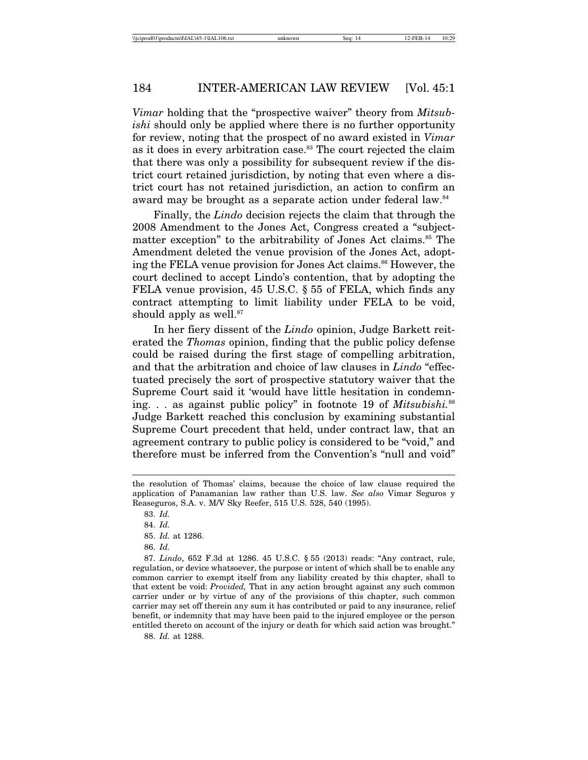*Vimar* holding that the "prospective waiver" theory from *Mitsubishi* should only be applied where there is no further opportunity for review, noting that the prospect of no award existed in *Vimar* as it does in every arbitration case.<sup>83</sup> The court rejected the claim that there was only a possibility for subsequent review if the district court retained jurisdiction, by noting that even where a district court has not retained jurisdiction, an action to confirm an award may be brought as a separate action under federal law.<sup>84</sup>

Finally, the *Lindo* decision rejects the claim that through the 2008 Amendment to the Jones Act, Congress created a "subjectmatter exception" to the arbitrability of Jones Act claims.<sup>85</sup> The Amendment deleted the venue provision of the Jones Act, adopting the FELA venue provision for Jones Act claims.<sup>86</sup> However, the court declined to accept Lindo's contention, that by adopting the FELA venue provision, 45 U.S.C. § 55 of FELA, which finds any contract attempting to limit liability under FELA to be void, should apply as well.<sup>87</sup>

In her fiery dissent of the *Lindo* opinion, Judge Barkett reiterated the *Thomas* opinion, finding that the public policy defense could be raised during the first stage of compelling arbitration, and that the arbitration and choice of law clauses in *Lindo* "effectuated precisely the sort of prospective statutory waiver that the Supreme Court said it 'would have little hesitation in condemning. . . as against public policy" in footnote 19 of *Mitsubishi.*<sup>88</sup> Judge Barkett reached this conclusion by examining substantial Supreme Court precedent that held, under contract law, that an agreement contrary to public policy is considered to be "void," and therefore must be inferred from the Convention's "null and void"

86. *Id.*

87. *Lindo*, 652 F.3d at 1286. 45 U.S.C. § 55 (2013) reads: "Any contract, rule, regulation, or device whatsoever, the purpose or intent of which shall be to enable any common carrier to exempt itself from any liability created by this chapter, shall to that extent be void: *Provided,* That in any action brought against any such common carrier under or by virtue of any of the provisions of this chapter, such common carrier may set off therein any sum it has contributed or paid to any insurance, relief benefit, or indemnity that may have been paid to the injured employee or the person entitled thereto on account of the injury or death for which said action was brought."

88. *Id.* at 1288.

the resolution of Thomas' claims, because the choice of law clause required the application of Panamanian law rather than U.S. law. *See also* Vimar Seguros y Reaseguros, S.A. v. M/V Sky Reefer, 515 U.S. 528, 540 (1995).

<sup>83.</sup> *Id.*

<sup>84.</sup> *Id.*

<sup>85.</sup> *Id.* at 1286.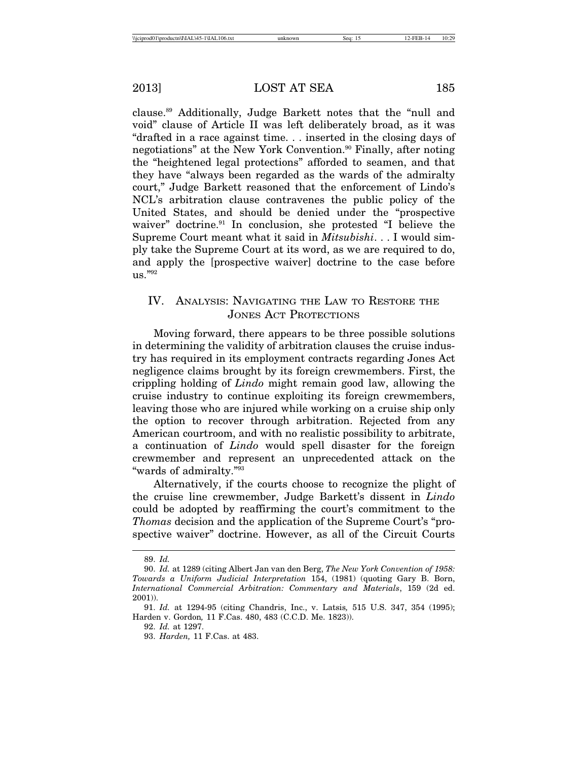clause.89 Additionally, Judge Barkett notes that the "null and void" clause of Article II was left deliberately broad, as it was "drafted in a race against time. . . inserted in the closing days of negotiations" at the New York Convention.<sup>90</sup> Finally, after noting the "heightened legal protections" afforded to seamen, and that they have "always been regarded as the wards of the admiralty court," Judge Barkett reasoned that the enforcement of Lindo's NCL's arbitration clause contravenes the public policy of the United States, and should be denied under the "prospective waiver" doctrine.<sup>91</sup> In conclusion, she protested "I believe the Supreme Court meant what it said in *Mitsubishi*. . . I would simply take the Supreme Court at its word, as we are required to do, and apply the [prospective waiver] doctrine to the case before us."92

## IV. ANALYSIS: NAVIGATING THE LAW TO RESTORE THE JONES ACT PROTECTIONS

Moving forward, there appears to be three possible solutions in determining the validity of arbitration clauses the cruise industry has required in its employment contracts regarding Jones Act negligence claims brought by its foreign crewmembers. First, the crippling holding of *Lindo* might remain good law, allowing the cruise industry to continue exploiting its foreign crewmembers, leaving those who are injured while working on a cruise ship only the option to recover through arbitration. Rejected from any American courtroom, and with no realistic possibility to arbitrate, a continuation of *Lindo* would spell disaster for the foreign crewmember and represent an unprecedented attack on the "wards of admiralty."93

Alternatively, if the courts choose to recognize the plight of the cruise line crewmember, Judge Barkett's dissent in *Lindo* could be adopted by reaffirming the court's commitment to the *Thomas* decision and the application of the Supreme Court's "prospective waiver" doctrine. However, as all of the Circuit Courts

92. *Id.* at 1297.

<sup>89.</sup> *Id.*

<sup>90.</sup> *Id.* at 1289 (citing Albert Jan van den Berg, *The New York Convention of 1958: Towards a Uniform Judicial Interpretation* 154, (1981) (quoting Gary B. Born, *International Commercial Arbitration: Commentary and Materials*, 159 (2d ed. 2001)).

<sup>91.</sup> *Id.* at 1294-95 (citing Chandris, Inc., v. Latsis*,* 515 U.S. 347, 354 (1995); Harden v. Gordon*,* 11 F.Cas. 480, 483 (C.C.D. Me. 1823)).

<sup>93.</sup> *Harden,* 11 F.Cas. at 483.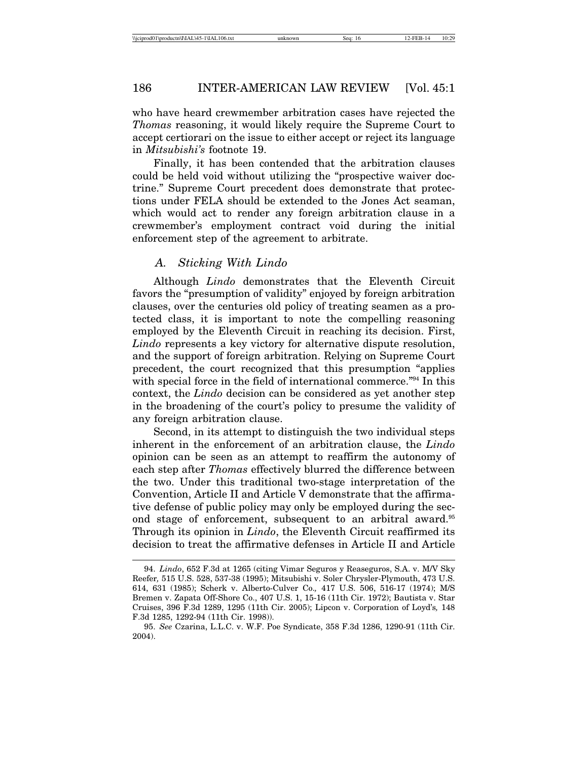who have heard crewmember arbitration cases have rejected the *Thomas* reasoning, it would likely require the Supreme Court to accept certiorari on the issue to either accept or reject its language in *Mitsubishi's* footnote 19.

Finally, it has been contended that the arbitration clauses could be held void without utilizing the "prospective waiver doctrine." Supreme Court precedent does demonstrate that protections under FELA should be extended to the Jones Act seaman, which would act to render any foreign arbitration clause in a crewmember's employment contract void during the initial enforcement step of the agreement to arbitrate.

#### *A. Sticking With Lindo*

Although *Lindo* demonstrates that the Eleventh Circuit favors the "presumption of validity" enjoyed by foreign arbitration clauses, over the centuries old policy of treating seamen as a protected class, it is important to note the compelling reasoning employed by the Eleventh Circuit in reaching its decision. First, *Lindo* represents a key victory for alternative dispute resolution, and the support of foreign arbitration. Relying on Supreme Court precedent, the court recognized that this presumption "applies with special force in the field of international commerce."<sup>94</sup> In this context, the *Lindo* decision can be considered as yet another step in the broadening of the court's policy to presume the validity of any foreign arbitration clause.

Second, in its attempt to distinguish the two individual steps inherent in the enforcement of an arbitration clause, the *Lindo* opinion can be seen as an attempt to reaffirm the autonomy of each step after *Thomas* effectively blurred the difference between the two. Under this traditional two-stage interpretation of the Convention, Article II and Article V demonstrate that the affirmative defense of public policy may only be employed during the second stage of enforcement, subsequent to an arbitral award.<sup>95</sup> Through its opinion in *Lindo*, the Eleventh Circuit reaffirmed its decision to treat the affirmative defenses in Article II and Article

<sup>94.</sup> *Lindo*, 652 F.3d at 1265 (citing Vimar Seguros y Reaseguros, S.A. v. M/V Sky Reefer*,* 515 U.S. 528, 537-38 (1995); Mitsubishi v. Soler Chrysler-Plymouth, 473 U.S. 614, 631 (1985); Scherk v. Alberto-Culver Co.*,* 417 U.S. 506, 516-17 (1974); M/S Bremen v. Zapata Off-Shore Co., 407 U.S. 1, 15-16 (11th Cir. 1972); Bautista v. Star Cruises, 396 F.3d 1289, 1295 (11th Cir. 2005); Lipcon v. Corporation of Loyd's*,* 148 F.3d 1285, 1292-94 (11th Cir. 1998)).

<sup>95.</sup> *See* Czarina, L.L.C. v. W.F. Poe Syndicate, 358 F.3d 1286, 1290-91 (11th Cir. 2004).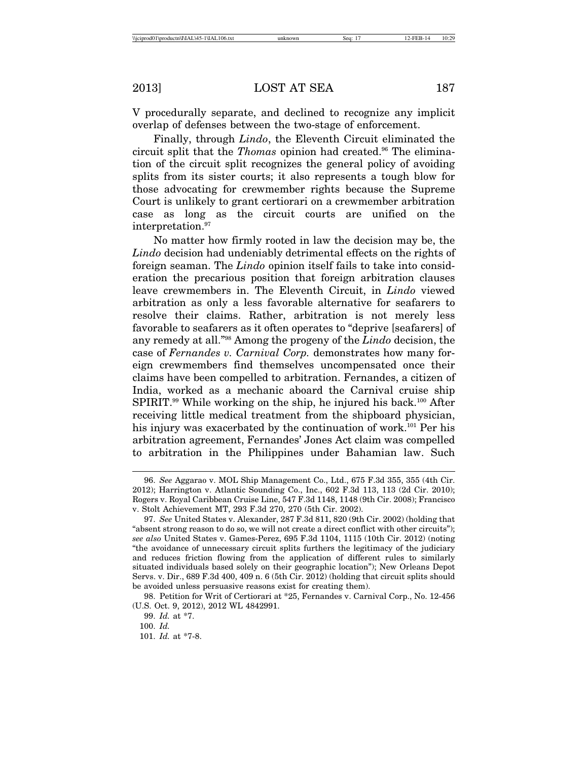V procedurally separate, and declined to recognize any implicit overlap of defenses between the two-stage of enforcement.

Finally, through *Lindo*, the Eleventh Circuit eliminated the circuit split that the *Thomas* opinion had created.<sup>96</sup> The elimination of the circuit split recognizes the general policy of avoiding splits from its sister courts; it also represents a tough blow for those advocating for crewmember rights because the Supreme Court is unlikely to grant certiorari on a crewmember arbitration case as long as the circuit courts are unified on the interpretation.<sup>97</sup>

No matter how firmly rooted in law the decision may be, the *Lindo* decision had undeniably detrimental effects on the rights of foreign seaman. The *Lindo* opinion itself fails to take into consideration the precarious position that foreign arbitration clauses leave crewmembers in. The Eleventh Circuit, in *Lindo* viewed arbitration as only a less favorable alternative for seafarers to resolve their claims. Rather, arbitration is not merely less favorable to seafarers as it often operates to "deprive [seafarers] of any remedy at all."98 Among the progeny of the *Lindo* decision, the case of *Fernandes v. Carnival Corp.* demonstrates how many foreign crewmembers find themselves uncompensated once their claims have been compelled to arbitration. Fernandes, a citizen of India, worked as a mechanic aboard the Carnival cruise ship SPIRIT.<sup>99</sup> While working on the ship, he injured his back.<sup>100</sup> After receiving little medical treatment from the shipboard physician, his injury was exacerbated by the continuation of work.<sup>101</sup> Per his arbitration agreement, Fernandes' Jones Act claim was compelled to arbitration in the Philippines under Bahamian law. Such

<sup>96.</sup> *See* Aggarao v. MOL Ship Management Co., Ltd., 675 F.3d 355, 355 (4th Cir. 2012); Harrington v. Atlantic Sounding Co., Inc., 602 F.3d 113, 113 (2d Cir. 2010); Rogers v. Royal Caribbean Cruise Line, 547 F.3d 1148, 1148 (9th Cir. 2008); Francisco v. Stolt Achievement MT, 293 F.3d 270, 270 (5th Cir. 2002).

<sup>97.</sup> *See* United States v. Alexander, 287 F.3d 811, 820 (9th Cir. 2002) (holding that "absent strong reason to do so, we will not create a direct conflict with other circuits"); *see also* United States v. Games-Perez, 695 F.3d 1104, 1115 (10th Cir. 2012) (noting "the avoidance of unnecessary circuit splits furthers the legitimacy of the judiciary and reduces friction flowing from the application of different rules to similarly situated individuals based solely on their geographic location"); New Orleans Depot Servs. v. Dir., 689 F.3d 400, 409 n. 6 (5th Cir. 2012) (holding that circuit splits should be avoided unless persuasive reasons exist for creating them).

<sup>98.</sup> Petition for Writ of Certiorari at \*25, Fernandes v. Carnival Corp., No. 12-456 (U.S. Oct. 9, 2012), 2012 WL 4842991.

<sup>99.</sup> *Id.* at \*7.

<sup>100.</sup> *Id.*

<sup>101.</sup> *Id.* at \*7-8.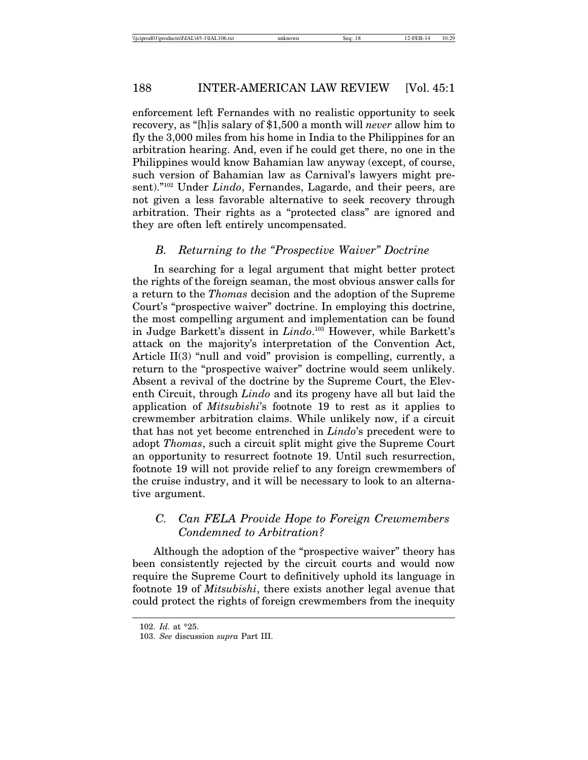enforcement left Fernandes with no realistic opportunity to seek recovery, as "[h]is salary of \$1,500 a month will *never* allow him to fly the 3,000 miles from his home in India to the Philippines for an arbitration hearing. And, even if he could get there, no one in the Philippines would know Bahamian law anyway (except, of course, such version of Bahamian law as Carnival's lawyers might present)."102 Under *Lindo*, Fernandes, Lagarde, and their peers, are not given a less favorable alternative to seek recovery through arbitration. Their rights as a "protected class" are ignored and they are often left entirely uncompensated.

#### *B. Returning to the "Prospective Waiver" Doctrine*

In searching for a legal argument that might better protect the rights of the foreign seaman, the most obvious answer calls for a return to the *Thomas* decision and the adoption of the Supreme Court's "prospective waiver" doctrine. In employing this doctrine, the most compelling argument and implementation can be found in Judge Barkett's dissent in *Lindo*. 103 However, while Barkett's attack on the majority's interpretation of the Convention Act, Article II(3) "null and void" provision is compelling, currently, a return to the "prospective waiver" doctrine would seem unlikely. Absent a revival of the doctrine by the Supreme Court, the Eleventh Circuit, through *Lindo* and its progeny have all but laid the application of *Mitsubishi*'s footnote 19 to rest as it applies to crewmember arbitration claims. While unlikely now, if a circuit that has not yet become entrenched in *Lindo*'s precedent were to adopt *Thomas*, such a circuit split might give the Supreme Court an opportunity to resurrect footnote 19. Until such resurrection, footnote 19 will not provide relief to any foreign crewmembers of the cruise industry, and it will be necessary to look to an alternative argument.

## *C. Can FELA Provide Hope to Foreign Crewmembers Condemned to Arbitration?*

Although the adoption of the "prospective waiver" theory has been consistently rejected by the circuit courts and would now require the Supreme Court to definitively uphold its language in footnote 19 of *Mitsubishi*, there exists another legal avenue that could protect the rights of foreign crewmembers from the inequity

<sup>102.</sup> *Id.* at \*25.

<sup>103.</sup> *See* discussion *supra* Part III.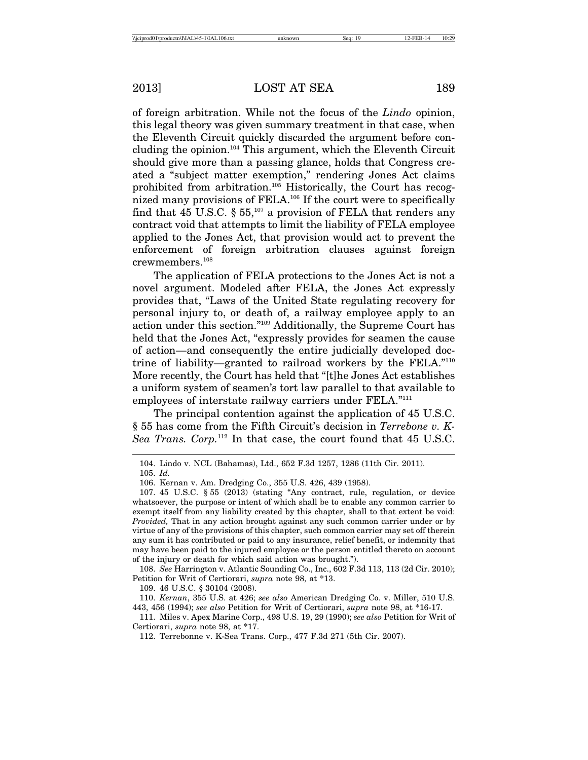of foreign arbitration. While not the focus of the *Lindo* opinion, this legal theory was given summary treatment in that case, when the Eleventh Circuit quickly discarded the argument before concluding the opinion.104 This argument, which the Eleventh Circuit should give more than a passing glance, holds that Congress created a "subject matter exemption," rendering Jones Act claims prohibited from arbitration.105 Historically, the Court has recognized many provisions of FELA.106 If the court were to specifically find that 45 U.S.C.  $\S 55$ ,<sup>107</sup> a provision of FELA that renders any contract void that attempts to limit the liability of FELA employee applied to the Jones Act, that provision would act to prevent the enforcement of foreign arbitration clauses against foreign crewmembers.108

The application of FELA protections to the Jones Act is not a novel argument. Modeled after FELA, the Jones Act expressly provides that, "Laws of the United State regulating recovery for personal injury to, or death of, a railway employee apply to an action under this section."109 Additionally, the Supreme Court has held that the Jones Act, "expressly provides for seamen the cause of action—and consequently the entire judicially developed doctrine of liability—granted to railroad workers by the FELA."110 More recently, the Court has held that "[t]he Jones Act establishes a uniform system of seamen's tort law parallel to that available to employees of interstate railway carriers under FELA."<sup>111</sup>

The principal contention against the application of 45 U.S.C. § 55 has come from the Fifth Circuit's decision in *Terrebone v. K-Sea Trans. Corp.*112 In that case, the court found that 45 U.S.C.

108. *See* Harrington v. Atlantic Sounding Co., Inc., 602 F.3d 113, 113 (2d Cir. 2010); Petition for Writ of Certiorari, *supra* note 98, at \*13.

109. 46 U.S.C. § 30104 (2008).

110. *Kernan*, 355 U.S. at 426; *see also* American Dredging Co. v. Miller, 510 U.S. 443, 456 (1994); *see also* Petition for Writ of Certiorari, *supra* note 98, at \*16-17.

111. Miles v. Apex Marine Corp., 498 U.S. 19, 29 (1990); *see also* Petition for Writ of Certiorari, *supra* note 98, at \*17.

112. Terrebonne v. K-Sea Trans. Corp., 477 F.3d 271 (5th Cir. 2007).

<sup>104.</sup> Lindo v. NCL (Bahamas), Ltd., 652 F.3d 1257, 1286 (11th Cir. 2011).

<sup>105.</sup> *Id.*

<sup>106.</sup> Kernan v. Am. Dredging Co., 355 U.S. 426, 439 (1958).

<sup>107. 45</sup> U.S.C. § 55 (2013) (stating "Any contract, rule, regulation, or device whatsoever, the purpose or intent of which shall be to enable any common carrier to exempt itself from any liability created by this chapter, shall to that extent be void: *Provided,* That in any action brought against any such common carrier under or by virtue of any of the provisions of this chapter, such common carrier may set off therein any sum it has contributed or paid to any insurance, relief benefit, or indemnity that may have been paid to the injured employee or the person entitled thereto on account of the injury or death for which said action was brought.").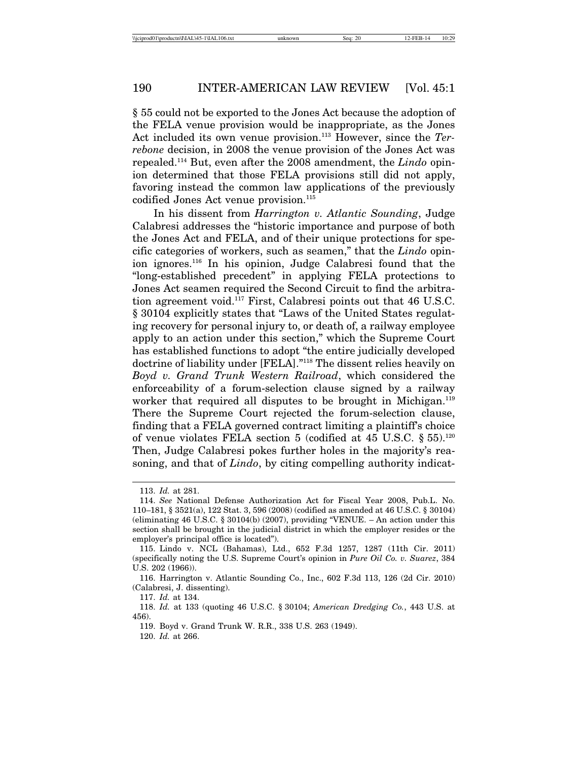§ 55 could not be exported to the Jones Act because the adoption of the FELA venue provision would be inappropriate, as the Jones Act included its own venue provision.113 However, since the *Terrebone* decision, in 2008 the venue provision of the Jones Act was repealed.114 But, even after the 2008 amendment, the *Lindo* opinion determined that those FELA provisions still did not apply, favoring instead the common law applications of the previously codified Jones Act venue provision.<sup>115</sup>

In his dissent from *Harrington v. Atlantic Sounding*, Judge Calabresi addresses the "historic importance and purpose of both the Jones Act and FELA, and of their unique protections for specific categories of workers, such as seamen," that the *Lindo* opinion ignores.116 In his opinion, Judge Calabresi found that the "long-established precedent" in applying FELA protections to Jones Act seamen required the Second Circuit to find the arbitration agreement void.117 First, Calabresi points out that 46 U.S.C. § 30104 explicitly states that "Laws of the United States regulating recovery for personal injury to, or death of, a railway employee apply to an action under this section," which the Supreme Court has established functions to adopt "the entire judicially developed doctrine of liability under [FELA]."118 The dissent relies heavily on *Boyd v. Grand Trunk Western Railroad*, which considered the enforceability of a forum-selection clause signed by a railway worker that required all disputes to be brought in Michigan.<sup>119</sup> There the Supreme Court rejected the forum-selection clause, finding that a FELA governed contract limiting a plaintiff's choice of venue violates FELA section 5 (codified at 45 U.S.C. § 55).<sup>120</sup> Then, Judge Calabresi pokes further holes in the majority's reasoning, and that of *Lindo*, by citing compelling authority indicat-

<sup>113.</sup> *Id.* at 281.

<sup>114.</sup> *See* National Defense Authorization Act for Fiscal Year 2008, Pub.L. No. 110–181, § 3521(a), 122 Stat. 3, 596 (2008) (codified as amended at 46 U.S.C. § 30104) (eliminating 46 U.S.C. § 30104(b) (2007), providing "VENUE. – An action under this section shall be brought in the judicial district in which the employer resides or the employer's principal office is located").

<sup>115.</sup> Lindo v. NCL (Bahamas), Ltd., 652 F.3d 1257, 1287 (11th Cir. 2011) (specifically noting the U.S. Supreme Court's opinion in *Pure Oil Co. v. Suarez*, 384 U.S. 202 (1966)).

<sup>116.</sup> Harrington v. Atlantic Sounding Co., Inc., 602 F.3d 113, 126 (2d Cir. 2010) (Calabresi, J. dissenting).

<sup>117.</sup> *Id.* at 134.

<sup>118.</sup> *Id.* at 133 (quoting 46 U.S.C. § 30104; *American Dredging Co.*, 443 U.S. at 456).

<sup>119.</sup> Boyd v. Grand Trunk W. R.R., 338 U.S. 263 (1949).

<sup>120.</sup> *Id.* at 266.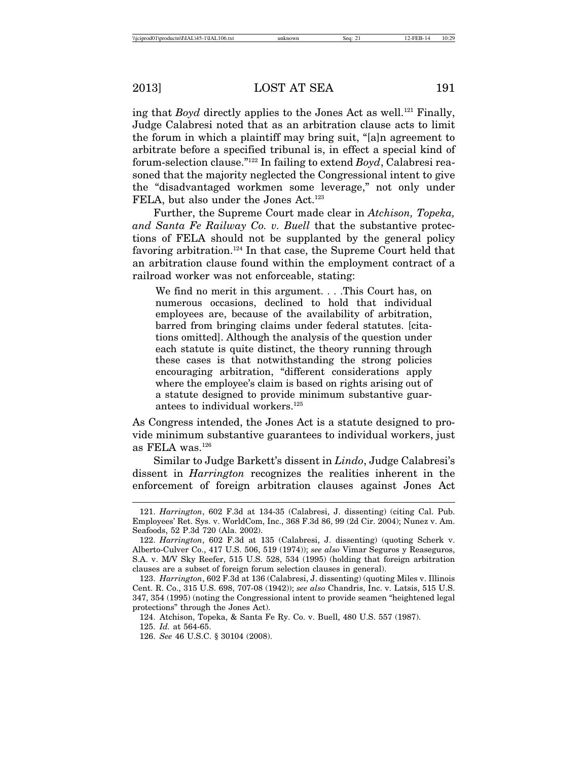ing that *Boyd* directly applies to the Jones Act as well.<sup>121</sup> Finally, Judge Calabresi noted that as an arbitration clause acts to limit the forum in which a plaintiff may bring suit, "[a]n agreement to arbitrate before a specified tribunal is, in effect a special kind of forum-selection clause."122 In failing to extend *Boyd*, Calabresi reasoned that the majority neglected the Congressional intent to give the "disadvantaged workmen some leverage," not only under FELA, but also under the Jones Act.<sup>123</sup>

Further, the Supreme Court made clear in *Atchison, Topeka, and Santa Fe Railway Co. v. Buell* that the substantive protections of FELA should not be supplanted by the general policy favoring arbitration.124 In that case, the Supreme Court held that an arbitration clause found within the employment contract of a railroad worker was not enforceable, stating:

We find no merit in this argument. . . .This Court has, on numerous occasions, declined to hold that individual employees are, because of the availability of arbitration, barred from bringing claims under federal statutes. [citations omitted]. Although the analysis of the question under each statute is quite distinct, the theory running through these cases is that notwithstanding the strong policies encouraging arbitration, "different considerations apply where the employee's claim is based on rights arising out of a statute designed to provide minimum substantive guarantees to individual workers.125

As Congress intended, the Jones Act is a statute designed to provide minimum substantive guarantees to individual workers, just as FELA was.126

Similar to Judge Barkett's dissent in *Lindo*, Judge Calabresi's dissent in *Harrington* recognizes the realities inherent in the enforcement of foreign arbitration clauses against Jones Act

124. Atchison, Topeka, & Santa Fe Ry. Co. v. Buell, 480 U.S. 557 (1987).

125. *Id.* at 564-65.

<sup>121.</sup> *Harrington*, 602 F.3d at 134-35 (Calabresi, J. dissenting) (citing Cal. Pub. Employees' Ret. Sys. v. WorldCom, Inc., 368 F.3d 86, 99 (2d Cir. 2004); Nunez v. Am. Seafoods, 52 P.3d 720 (Ala. 2002).

<sup>122.</sup> *Harrington*, 602 F.3d at 135 (Calabresi, J. dissenting) (quoting Scherk v. Alberto-Culver Co., 417 U.S. 506, 519 (1974)); *see also* Vimar Seguros y Reaseguros, S.A. v. M/V Sky Reefer, 515 U.S. 528, 534 (1995) (holding that foreign arbitration clauses are a subset of foreign forum selection clauses in general).

<sup>123.</sup> *Harrington*, 602 F.3d at 136 (Calabresi, J. dissenting) (quoting Miles v. Illinois Cent. R. Co., 315 U.S. 698, 707-08 (1942)); *see also* Chandris, Inc. v. Latsis, 515 U.S. 347, 354 (1995) (noting the Congressional intent to provide seamen "heightened legal protections" through the Jones Act).

<sup>126.</sup> *See* 46 U.S.C. § 30104 (2008).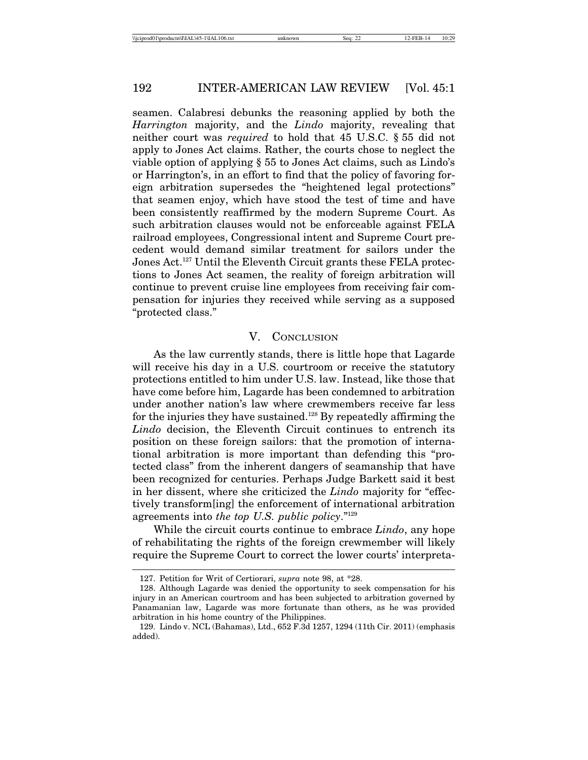seamen. Calabresi debunks the reasoning applied by both the *Harrington* majority, and the *Lindo* majority, revealing that neither court was *required* to hold that 45 U.S.C. § 55 did not apply to Jones Act claims. Rather, the courts chose to neglect the viable option of applying § 55 to Jones Act claims, such as Lindo's or Harrington's, in an effort to find that the policy of favoring foreign arbitration supersedes the "heightened legal protections" that seamen enjoy, which have stood the test of time and have been consistently reaffirmed by the modern Supreme Court. As such arbitration clauses would not be enforceable against FELA railroad employees, Congressional intent and Supreme Court precedent would demand similar treatment for sailors under the Jones Act.127 Until the Eleventh Circuit grants these FELA protections to Jones Act seamen, the reality of foreign arbitration will continue to prevent cruise line employees from receiving fair compensation for injuries they received while serving as a supposed "protected class."

#### V. CONCLUSION

As the law currently stands, there is little hope that Lagarde will receive his day in a U.S. courtroom or receive the statutory protections entitled to him under U.S. law. Instead, like those that have come before him, Lagarde has been condemned to arbitration under another nation's law where crewmembers receive far less for the injuries they have sustained.128 By repeatedly affirming the *Lindo* decision, the Eleventh Circuit continues to entrench its position on these foreign sailors: that the promotion of international arbitration is more important than defending this "protected class" from the inherent dangers of seamanship that have been recognized for centuries. Perhaps Judge Barkett said it best in her dissent, where she criticized the *Lindo* majority for "effectively transform[ing] the enforcement of international arbitration agreements into *the top U.S. public policy*."129

While the circuit courts continue to embrace *Lindo*, any hope of rehabilitating the rights of the foreign crewmember will likely require the Supreme Court to correct the lower courts' interpreta-

<sup>127.</sup> Petition for Writ of Certiorari, *supra* note 98, at \*28.

<sup>128.</sup> Although Lagarde was denied the opportunity to seek compensation for his injury in an American courtroom and has been subjected to arbitration governed by Panamanian law, Lagarde was more fortunate than others, as he was provided arbitration in his home country of the Philippines.

<sup>129.</sup> Lindo v. NCL (Bahamas), Ltd., 652 F.3d 1257, 1294 (11th Cir. 2011) (emphasis added).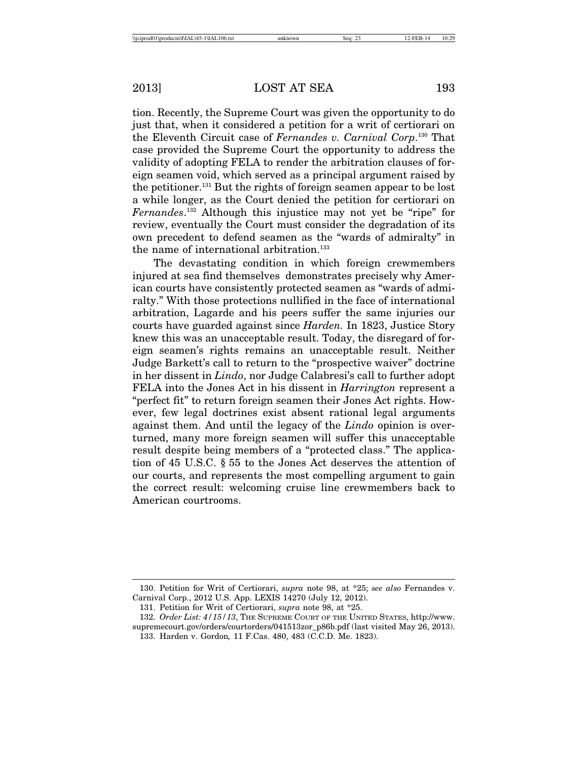tion. Recently, the Supreme Court was given the opportunity to do just that, when it considered a petition for a writ of certiorari on the Eleventh Circuit case of *Fernandes v. Carnival Corp*. 130 That case provided the Supreme Court the opportunity to address the validity of adopting FELA to render the arbitration clauses of foreign seamen void, which served as a principal argument raised by the petitioner.131 But the rights of foreign seamen appear to be lost a while longer, as the Court denied the petition for certiorari on *Fernandes*. 132 Although this injustice may not yet be "ripe" for review, eventually the Court must consider the degradation of its own precedent to defend seamen as the "wards of admiralty" in the name of international arbitration.<sup>133</sup>

The devastating condition in which foreign crewmembers injured at sea find themselves demonstrates precisely why American courts have consistently protected seamen as "wards of admiralty." With those protections nullified in the face of international arbitration, Lagarde and his peers suffer the same injuries our courts have guarded against since *Harden.* In 1823, Justice Story knew this was an unacceptable result. Today, the disregard of foreign seamen's rights remains an unacceptable result. Neither Judge Barkett's call to return to the "prospective waiver" doctrine in her dissent in *Lindo*, nor Judge Calabresi's call to further adopt FELA into the Jones Act in his dissent in *Harrington* represent a "perfect fit" to return foreign seamen their Jones Act rights. However, few legal doctrines exist absent rational legal arguments against them. And until the legacy of the *Lindo* opinion is overturned, many more foreign seamen will suffer this unacceptable result despite being members of a "protected class." The application of 45 U.S.C. § 55 to the Jones Act deserves the attention of our courts, and represents the most compelling argument to gain the correct result: welcoming cruise line crewmembers back to American courtrooms.

<sup>130.</sup> Petition for Writ of Certiorari, *supra* note 98, at \*25; *see also* Fernandes v. Carnival Corp., 2012 U.S. App. LEXIS 14270 (July 12, 2012).

<sup>131.</sup> Petition for Writ of Certiorari, *supra* note 98, at \*25.

<sup>132.</sup> *Order List: 4/15/13*, THE SUPREME COURT OF THE UNITED STATES, http://www. supremecourt.gov/orders/courtorders/041513zor\_p86b.pdf (last visited May 26, 2013).

<sup>133.</sup> Harden v. Gordon*,* 11 F.Cas. 480, 483 (C.C.D. Me. 1823).